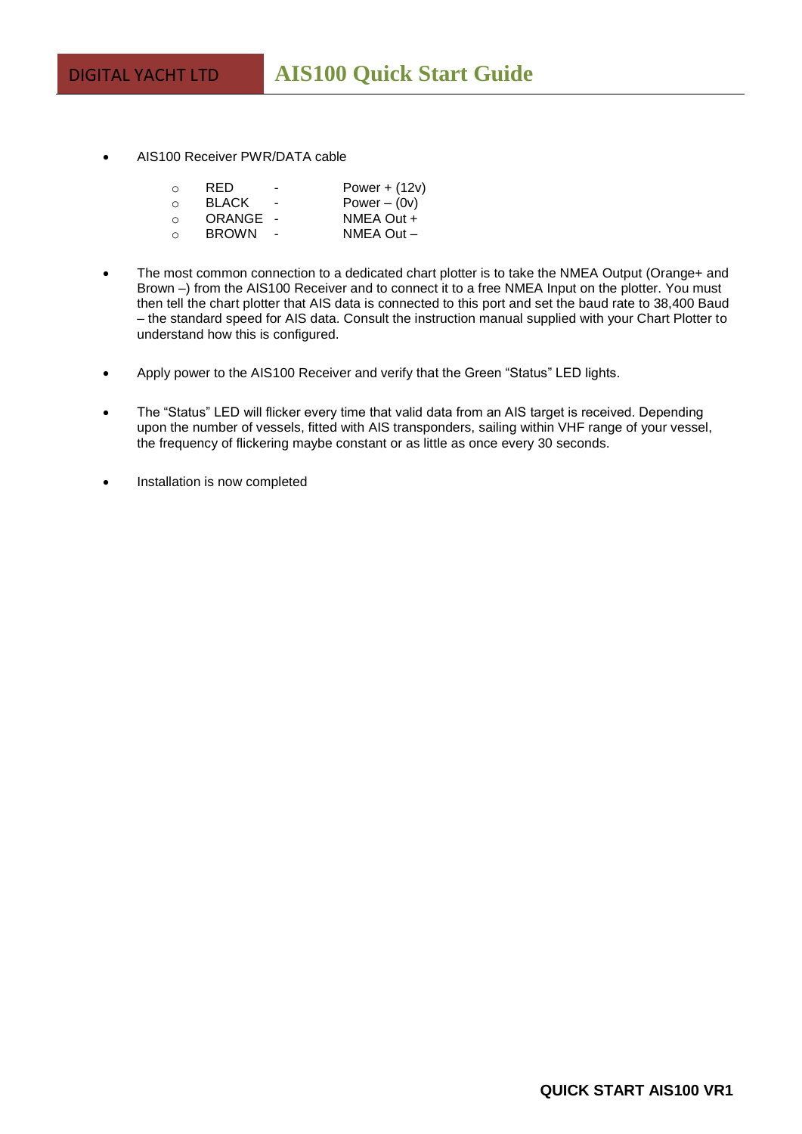AIS100 Receiver PWR/DATA cable

| $\circ$ | RED          |   | Power + $(12v)$    |
|---------|--------------|---|--------------------|
| $\circ$ | <b>BLACK</b> | - | Power $-$ (0 $v$ ) |
| $\circ$ | ORANGE       |   | NMEA Out +         |
| $\circ$ | <b>BROWN</b> |   | NMEA Out-          |

- The most common connection to a dedicated chart plotter is to take the NMEA Output (Orange+ and Brown –) from the AIS100 Receiver and to connect it to a free NMEA Input on the plotter. You must then tell the chart plotter that AIS data is connected to this port and set the baud rate to 38,400 Baud – the standard speed for AIS data. Consult the instruction manual supplied with your Chart Plotter to understand how this is configured.
- Apply power to the AIS100 Receiver and verify that the Green "Status" LED lights.
- The "Status" LED will flicker every time that valid data from an AIS target is received. Depending upon the number of vessels, fitted with AIS transponders, sailing within VHF range of your vessel, the frequency of flickering maybe constant or as little as once every 30 seconds.
- Installation is now completed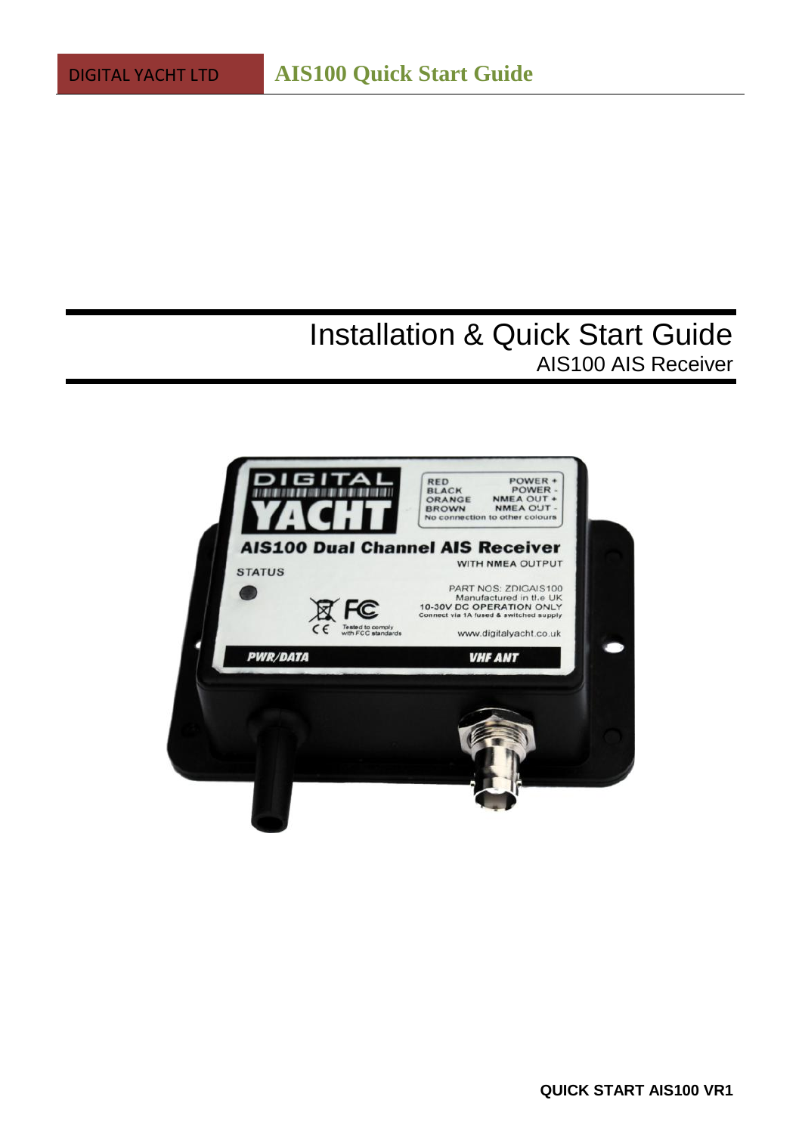# Installation & Quick Start Guide AIS100 AIS Receiver

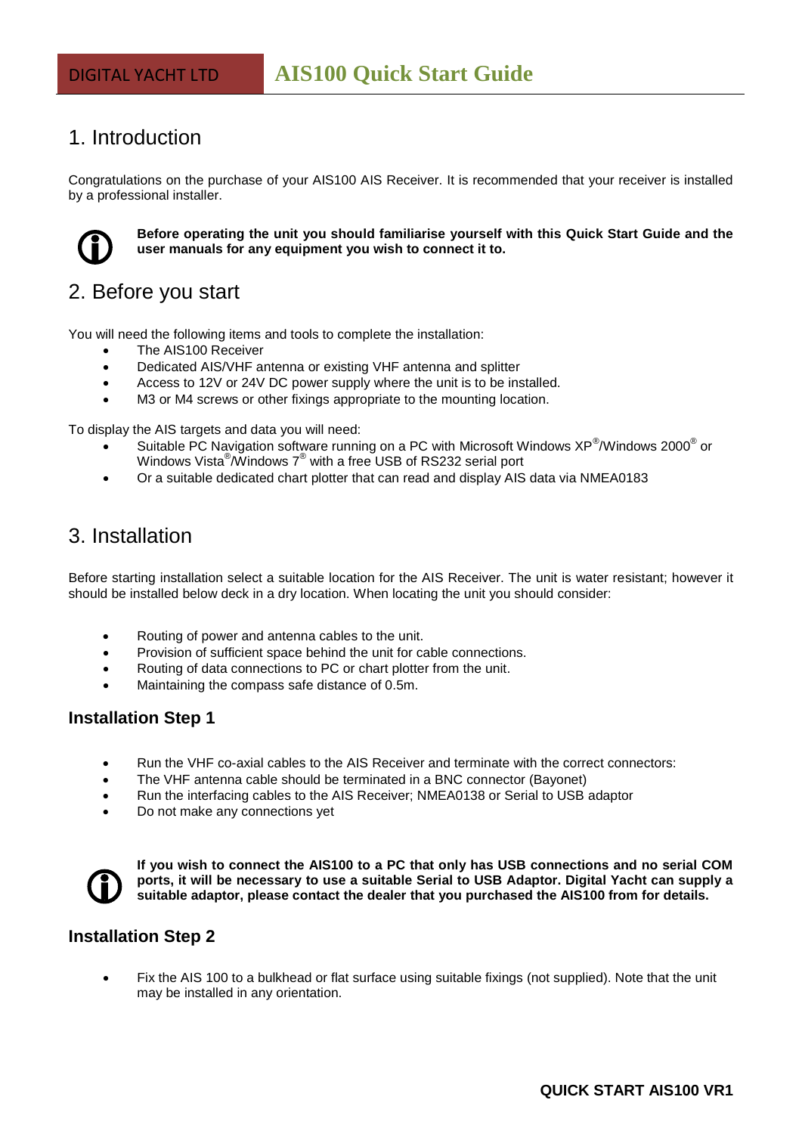## 1. Introduction

Congratulations on the purchase of your AIS100 AIS Receiver. It is recommended that your receiver is installed by a professional installer.



**Before operating the unit you should familiarise yourself with this Quick Start Guide and the user manuals for any equipment you wish to connect it to.**

## 2. Before you start

You will need the following items and tools to complete the installation:

- The AIS100 Receiver
- Dedicated AIS/VHF antenna or existing VHF antenna and splitter
- Access to 12V or 24V DC power supply where the unit is to be installed.
- M3 or M4 screws or other fixings appropriate to the mounting location.

To display the AIS targets and data you will need:

- Suitable PC Navigation software running on a PC with Microsoft Windows XP<sup>®</sup>/Windows 2000<sup>®</sup> or Windows Vista $^\circledR$ Windows  $7^\circledR$  with a free USB of RS232 serial port
- Or a suitable dedicated chart plotter that can read and display AIS data via NMEA0183

### 3. Installation

Before starting installation select a suitable location for the AIS Receiver. The unit is water resistant; however it should be installed below deck in a dry location. When locating the unit you should consider:

- Routing of power and antenna cables to the unit.
- Provision of sufficient space behind the unit for cable connections.
- Routing of data connections to PC or chart plotter from the unit.
- Maintaining the compass safe distance of 0.5m.

#### **Installation Step 1**

- Run the VHF co-axial cables to the AIS Receiver and terminate with the correct connectors:
- The VHF antenna cable should be terminated in a BNC connector (Bayonet)
- Run the interfacing cables to the AIS Receiver; NMEA0138 or Serial to USB adaptor
- Do not make any connections yet



**If you wish to connect the AIS100 to a PC that only has USB connections and no serial COM ports, it will be necessary to use a suitable Serial to USB Adaptor. Digital Yacht can supply a suitable adaptor, please contact the dealer that you purchased the AIS100 from for details.**

#### **Installation Step 2**

 Fix the AIS 100 to a bulkhead or flat surface using suitable fixings (not supplied). Note that the unit may be installed in any orientation.